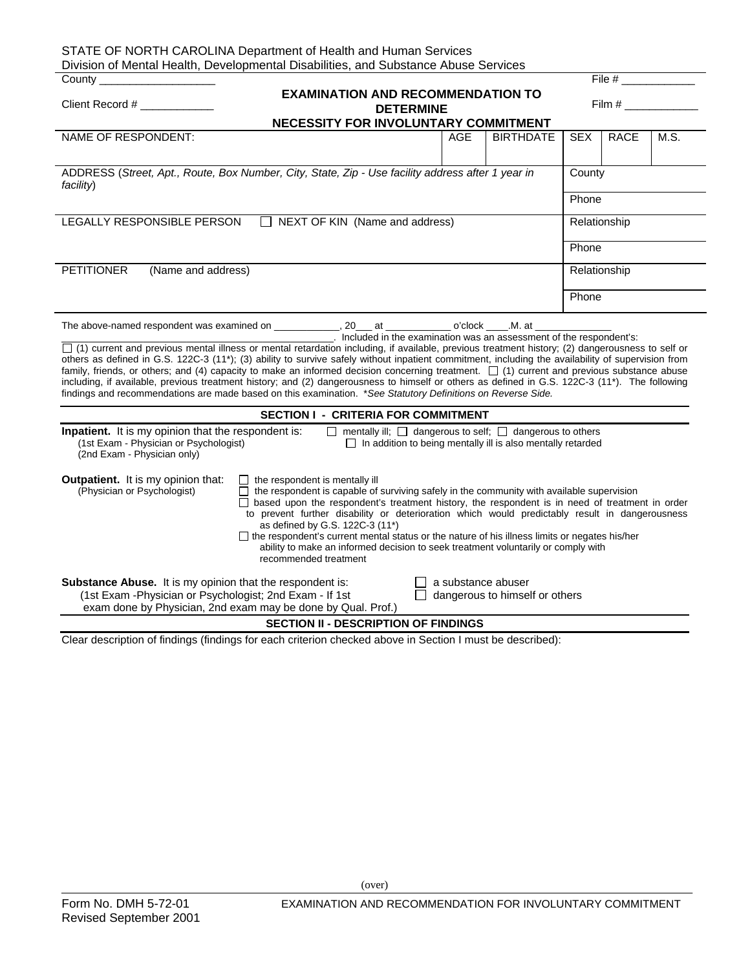| STATE OF NORTH CAROLINA Department of Health and Human Services<br>Division of Mental Health, Developmental Disabilities, and Substance Abuse Services                                                                                                                                                                                                                                                                                                                                                                                                                                                                                                                                                                       |              |                  |            |              |      |  |  |  |
|------------------------------------------------------------------------------------------------------------------------------------------------------------------------------------------------------------------------------------------------------------------------------------------------------------------------------------------------------------------------------------------------------------------------------------------------------------------------------------------------------------------------------------------------------------------------------------------------------------------------------------------------------------------------------------------------------------------------------|--------------|------------------|------------|--------------|------|--|--|--|
| File $#$<br>County                                                                                                                                                                                                                                                                                                                                                                                                                                                                                                                                                                                                                                                                                                           |              |                  |            |              |      |  |  |  |
| <b>EXAMINATION AND RECOMMENDATION TO</b><br>Client Record # _____________<br>$\mathsf{Film}~\#$<br><b>DETERMINE</b><br>NECESSITY FOR INVOLUNTARY COMMITMENT                                                                                                                                                                                                                                                                                                                                                                                                                                                                                                                                                                  |              |                  |            |              |      |  |  |  |
| NAME OF RESPONDENT:                                                                                                                                                                                                                                                                                                                                                                                                                                                                                                                                                                                                                                                                                                          | AGE          | <b>BIRTHDATE</b> | <b>SEX</b> | <b>RACE</b>  | M.S. |  |  |  |
| ADDRESS (Street, Apt., Route, Box Number, City, State, Zip - Use facility address after 1 year in<br>County<br>facility)<br>Phone                                                                                                                                                                                                                                                                                                                                                                                                                                                                                                                                                                                            |              |                  |            |              |      |  |  |  |
| NEXT OF KIN (Name and address)<br>LEGALLY RESPONSIBLE PERSON                                                                                                                                                                                                                                                                                                                                                                                                                                                                                                                                                                                                                                                                 | Relationship |                  |            |              |      |  |  |  |
|                                                                                                                                                                                                                                                                                                                                                                                                                                                                                                                                                                                                                                                                                                                              | Phone        |                  |            |              |      |  |  |  |
| <b>PETITIONER</b><br>(Name and address)                                                                                                                                                                                                                                                                                                                                                                                                                                                                                                                                                                                                                                                                                      |              |                  |            | Relationship |      |  |  |  |
|                                                                                                                                                                                                                                                                                                                                                                                                                                                                                                                                                                                                                                                                                                                              |              |                  | Phone      |              |      |  |  |  |
| □ (1) current and previous mental illness or mental retardation including, if available, previous treatment history; (2) dangerousness to self or<br>others as defined in G.S. 122C-3 (11*); (3) ability to survive safely without inpatient commitment, including the availability of supervision from<br>family, friends, or others; and (4) capacity to make an informed decision concerning treatment. $\Box$ (1) current and previous substance abuse<br>including, if available, previous treatment history; and (2) dangerousness to himself or others as defined in G.S. 122C-3 (11*). The following<br>findings and recommendations are made based on this examination. *See Statutory Definitions on Reverse Side. |              |                  |            |              |      |  |  |  |
| <b>SECTION I - CRITERIA FOR COMMITMENT</b>                                                                                                                                                                                                                                                                                                                                                                                                                                                                                                                                                                                                                                                                                   |              |                  |            |              |      |  |  |  |
| Inpatient. It is my opinion that the respondent is:<br>$\Box$ mentally ill; $\Box$ dangerous to self; $\Box$ dangerous to others<br>(1st Exam - Physician or Psychologist)<br>$\Box$ In addition to being mentally ill is also mentally retarded<br>(2nd Exam - Physician only)                                                                                                                                                                                                                                                                                                                                                                                                                                              |              |                  |            |              |      |  |  |  |
| Outpatient. It is my opinion that:<br>$\Box$ the respondent is mentally ill<br>(Physician or Psychologist)<br>$\Box$ the respondent is capable of surviving safely in the community with available supervision<br>$\Box$ based upon the respondent's treatment history, the respondent is in need of treatment in order<br>to prevent further disability or deterioration which would predictably result in dangerousness<br>as defined by G.S. 122C-3 (11*)<br>□ the respondent's current mental status or the nature of his illness limits or negates his/her<br>ability to make an informed decision to seek treatment voluntarily or comply with<br>recommended treatment                                                |              |                  |            |              |      |  |  |  |
| <b>Substance Abuse.</b> It is my opinion that the respondent is:<br>$\Box$ a substance abuser<br>$\Box$ dangerous to himself or others<br>(1st Exam - Physician or Psychologist; 2nd Exam - If 1st<br>exam done by Physician, 2nd exam may be done by Qual. Prof.)                                                                                                                                                                                                                                                                                                                                                                                                                                                           |              |                  |            |              |      |  |  |  |
| <b>SECTION II - DESCRIPTION OF FINDINGS</b><br>Clear decertation of findings (findings for sook exterion shooked shows in Cootian I must be described);                                                                                                                                                                                                                                                                                                                                                                                                                                                                                                                                                                      |              |                  |            |              |      |  |  |  |

Clear description of findings (findings for each criterion checked above in Section I must be described):